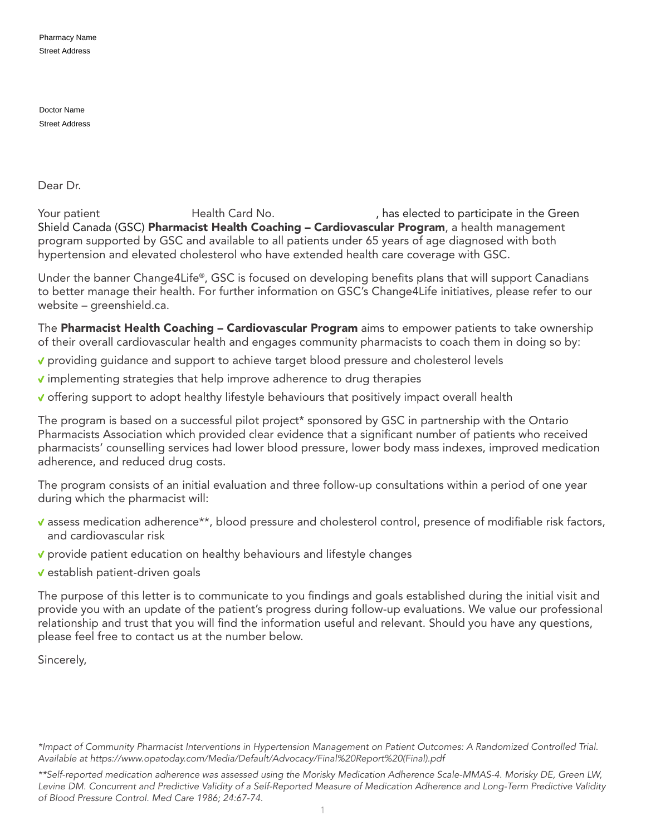Pharmacy Name Street Address

Doctor Name Street Address

Dear Dr.

Your patient **Health Card No.** (a) has elected to participate in the Green Shield Canada (GSC) Pharmacist Health Coaching – Cardiovascular Program, a health management program supported by GSC and available to all patients under 65 years of age diagnosed with both hypertension and elevated cholesterol who have extended health care coverage with GSC.

Under the banner Change4Life®, GSC is focused on developing benefits plans that will support Canadians to better manage their health. For further information on GSC's Change4Life initiatives, please refer to our website – greenshield.ca.

The Pharmacist Health Coaching - Cardiovascular Program aims to empower patients to take ownership of their overall cardiovascular health and engages community pharmacists to coach them in doing so by:

- providing guidance and support to achieve target blood pressure and cholesterol levels
- $\checkmark$  implementing strategies that help improve adherence to drug therapies
- $\checkmark$  offering support to adopt healthy lifestyle behaviours that positively impact overall health

The program is based on a successful pilot project\* sponsored by GSC in partnership with the Ontario Pharmacists Association which provided clear evidence that a significant number of patients who received pharmacists' counselling services had lower blood pressure, lower body mass indexes, improved medication adherence, and reduced drug costs.

The program consists of an initial evaluation and three follow-up consultations within a period of one year during which the pharmacist will:

- assess medication adherence\*\*, blood pressure and cholesterol control, presence of modifiable risk factors, and cardiovascular risk
- ↓ provide patient education on healthy behaviours and lifestyle changes
- $\checkmark$  establish patient-driven goals

The purpose of this letter is to communicate to you findings and goals established during the initial visit and provide you with an update of the patient's progress during follow-up evaluations. We value our professional relationship and trust that you will find the information useful and relevant. Should you have any questions, please feel free to contact us at the number below.

Sincerely,

*<sup>\*</sup>Impact of Community Pharmacist Interventions in Hypertension Management on Patient Outcomes: A Randomized Controlled Trial. Available at [https://www.opatoday.com/Media/Default/Advocacy/Final%20Report%20\(Final\).pdf](https://www.opatoday.com/Media/Default/Advocacy/Final%20Report%20(Final).pdf)* 

*<sup>\*\*</sup>Self-reported medication adherence was assessed using the Morisky Medication Adherence Scale-MMAS-4. Morisky DE, Green LW, Levine DM. Concurrent and Predictive Validity of a Self-Reported Measure of Medication Adherence and Long-Term Predictive Validity of Blood Pressure Control. Med Care 1986; 24:67-74.*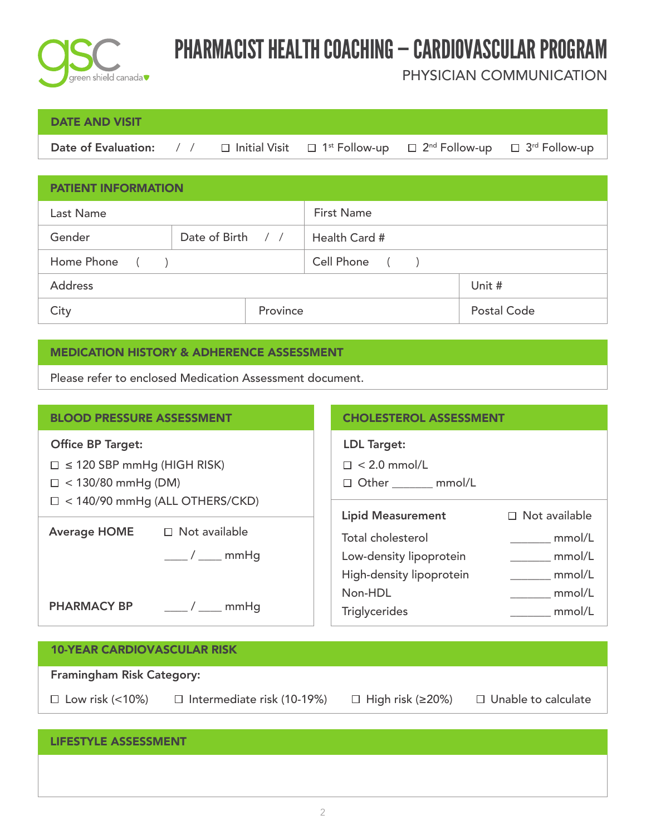

## PHARMACIST HEALTH COACHING — CARDIOVASCULAR PROGRAM

PHYSICIAN COMMUNICATION

### DATE AND VISIT

Date of Evaluation: / /  $\Box$  Initial Visit  $\Box$  1<sup>st</sup> Follow-up  $\Box$  2<sup>nd</sup> Follow-up  $\Box$  3<sup>rd</sup> Follow-up  $\Box$  1<sup>st</sup> Follow-up

| <b>PATIENT INFORMATION</b> |                   |                   |                    |  |  |
|----------------------------|-------------------|-------------------|--------------------|--|--|
| Last Name                  |                   | <b>First Name</b> |                    |  |  |
| Gender                     | Date of Birth / / | Health Card #     |                    |  |  |
| Home Phone<br>$($ $)$      |                   | Cell Phone ()     |                    |  |  |
| <b>Address</b>             |                   |                   | Unit #             |  |  |
| City                       | Province          |                   | <b>Postal Code</b> |  |  |

#### MEDICATION HISTORY & ADHERENCE ASSESSMENT

Please refer to enclosed Medication Assessment document.

| <b>BLOOD PRESSURE ASSESSMENT</b>      |                                  | <b>CHOLESTEROL ASSESSMENT</b> |                      |  |
|---------------------------------------|----------------------------------|-------------------------------|----------------------|--|
| <b>Office BP Target:</b>              |                                  | <b>LDL Target:</b>            |                      |  |
| $\Box \leq 120$ SBP mmHg (HIGH RISK)  |                                  | $\Box$ < 2.0 mmol/L           |                      |  |
| $\Box$ < 130/80 mmHg (DM)             |                                  | □ Other ______ mmol/L         |                      |  |
| $\Box$ < 140/90 mmHg (ALL OTHERS/CKD) |                                  |                               |                      |  |
|                                       |                                  | <b>Lipid Measurement</b>      | $\Box$ Not available |  |
| <b>Average HOME</b>                   | $\Box$ Not available             | <b>Total cholesterol</b>      | mmol/L               |  |
|                                       | $\frac{1}{\sqrt{2}}$ mmHg        | Low-density lipoprotein       | mmol/L               |  |
|                                       |                                  | High-density lipoprotein      | mmol/L               |  |
|                                       |                                  | Non-HDL                       | mmol/L               |  |
|                                       | PHARMACY BP ________/ _____ mmHg | <b>Triglycerides</b>          | mmol/L               |  |
|                                       |                                  |                               |                      |  |
| 10 YEAR CARDIOVASCULAR RISK           |                                  |                               |                      |  |

| <b>10-YEAR CARDIOVASCULAR RISK</b> |                                   |                                |                            |  |  |
|------------------------------------|-----------------------------------|--------------------------------|----------------------------|--|--|
| <b>Framingham Risk Category:</b>   |                                   |                                |                            |  |  |
| $\Box$ Low risk (<10%)             | $\Box$ Intermediate risk (10-19%) | $\Box$ High risk ( $\geq$ 20%) | $\Box$ Unable to calculate |  |  |
|                                    |                                   |                                |                            |  |  |
| <b>LIFESTYLE ASSESSMENT</b>        |                                   |                                |                            |  |  |
|                                    |                                   |                                |                            |  |  |